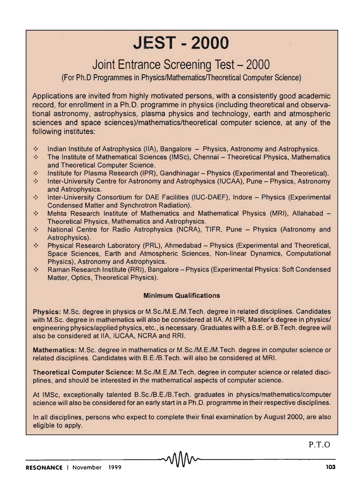# **JEST - 2000**

# Joint Entrance Screening Test - 2000

(For Ph.D Programmes in Physics/MathematicslTheoretical Computer Science)

Applications are invited from highly motivated persons, with a consistently good academic record, for enrollment in a Ph.D. programme in physics (including theoretical and observational astronomy, astrophysics, plasma physics and technology, earth and atmospheric sciences and space sciences)/mathematics/theoretical computer science, at any of the following institutes:

- $\div$  Indian Institute of Astrophysics (IIA), Bangalore Physics, Astronomy and Astrophysics.
- The Institute of Mathematical Sciences (IMSc), Chennai Theoretical Physics, Mathematics and Theoretical Computer Science .
- $\div$  Institute for Plasma Research (IPR), Gandhinagar Physics (Experimental and Theoretical).
- '.' Inter-University Centre for Astronomy and Astrophysics (IUCAA), Pune Physics, Astronomy and Astrophysics .
- $\div$  Inter-University Consortium for DAE Facilities (IUC-DAEF), Indore Physics (Experimental Condensed Matter and Synchrotron Radiation) .
- $\div$  Mehta Research Institute of Mathematics and Mathematical Physics (MRI), Allahabad -Theoretical Physics, Mathematics and Astrophysics .
- . :. National Centre for Radio Astrophysics (NCRA), TIFR, Pune Physics (Astronomy and Astrophysics) .
- Physical Research Laboratory (PRL), Ahmedabad Physics (Experimental and Theoretical, Space Sciences, Earth and Atmospheric Sciences, Non-linear Dynamics, Computational Physics), Astronomy and Astrophysics .
- Raman Research Institute (RRI), Bangalore Physics (Experimental Physics: Soft Condensed Matter, Optics, Theoretical Physics).

#### Minimum Qualifications

Physics: M.Sc. degree in physics or M.Sc./M.E./M.Tech. degree in related disciplines. Candidates with M.Sc. degree in mathematics will also be considered at IIA. At IPR, Master's degree in physics/ engineering physics/applied physics, etc., is necessary. Graduates with a 8.£. or B.Tech. degree will also be considered at IIA, IUCAA, NCRA and RRI.

Mathematics: M.Sc. degree in mathematics or M.Sc./M.E./M.Tech. degree in computer science or related disciplines. Candidates with B.E.lB.Tech. will also be considered at MRI.

Theoretical Computer Science: M.Sc./M.E./M.Tech. degree in computer science or related disciplines, and should be interested in the mathematical aspects of computer science.

At IMSc, exceptionally talented B.Sc./B.E./B.Tech. graduates in physics/mathematics/computer science will also be considered for an early start in a Ph.D. programme in their respective disciplines.

In all disciplines, persons who expect to complete their final examination by August 2000, are also eligible to apply.